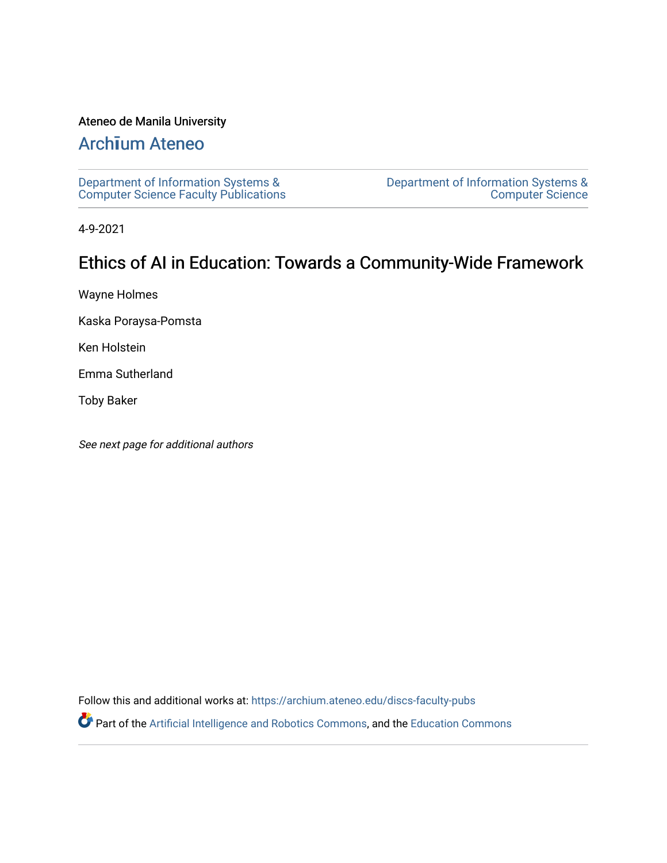# Ateneo de Manila University

# Arch**ī**[um Ateneo](https://archium.ateneo.edu/)

[Department of Information Systems &](https://archium.ateneo.edu/discs-faculty-pubs)  [Computer Science Faculty Publications](https://archium.ateneo.edu/discs-faculty-pubs)  [Department of Information Systems &](https://archium.ateneo.edu/discs)  [Computer Science](https://archium.ateneo.edu/discs) 

4-9-2021

# Ethics of AI in Education: Towards a Community-Wide Framework

Wayne Holmes

Kaska Poraysa-Pomsta

Ken Holstein

Emma Sutherland

Toby Baker

See next page for additional authors

Follow this and additional works at: [https://archium.ateneo.edu/discs-faculty-pubs](https://archium.ateneo.edu/discs-faculty-pubs?utm_source=archium.ateneo.edu%2Fdiscs-faculty-pubs%2F255&utm_medium=PDF&utm_campaign=PDFCoverPages) 

Part of the [Artificial Intelligence and Robotics Commons](http://network.bepress.com/hgg/discipline/143?utm_source=archium.ateneo.edu%2Fdiscs-faculty-pubs%2F255&utm_medium=PDF&utm_campaign=PDFCoverPages), and the [Education Commons](http://network.bepress.com/hgg/discipline/784?utm_source=archium.ateneo.edu%2Fdiscs-faculty-pubs%2F255&utm_medium=PDF&utm_campaign=PDFCoverPages)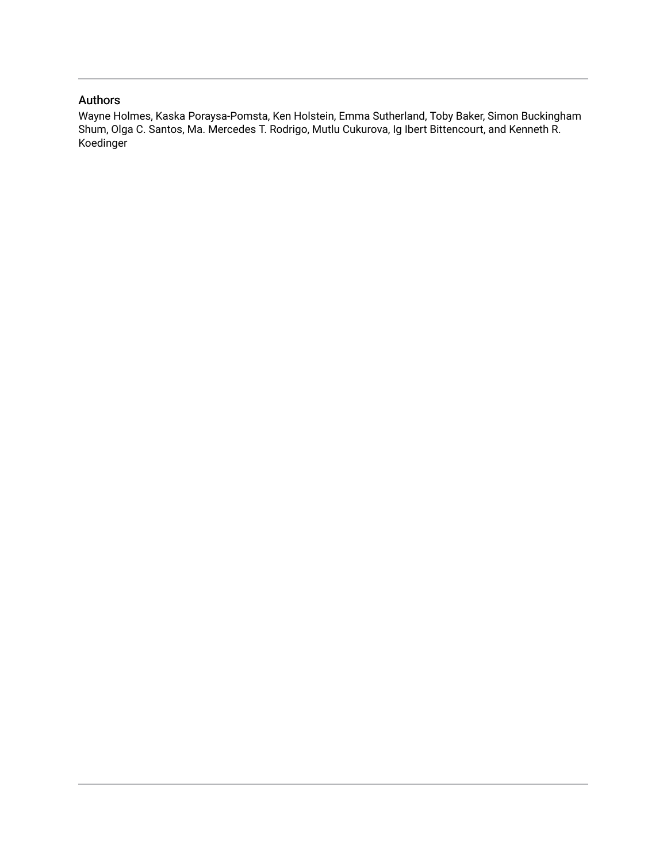# Authors

Wayne Holmes, Kaska Poraysa-Pomsta, Ken Holstein, Emma Sutherland, Toby Baker, Simon Buckingham Shum, Olga C. Santos, Ma. Mercedes T. Rodrigo, Mutlu Cukurova, Ig Ibert Bittencourt, and Kenneth R. Koedinger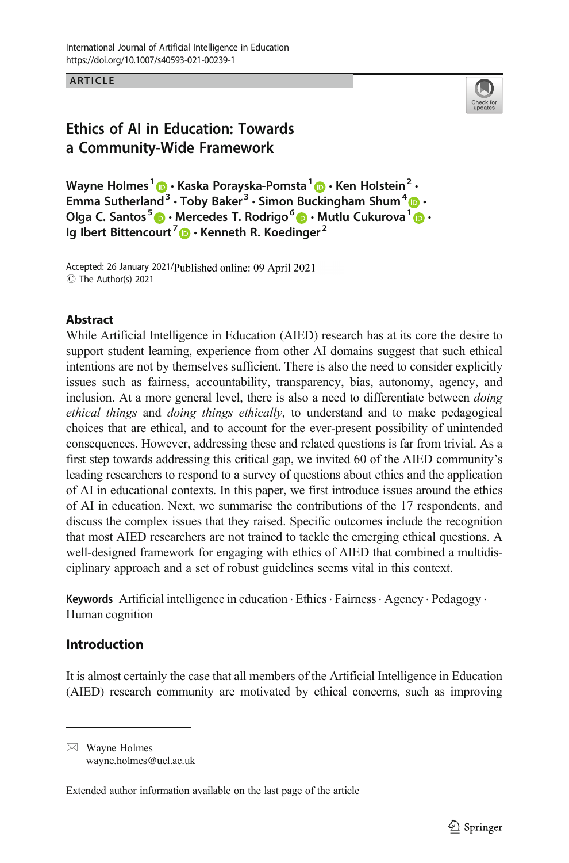ARTICLE  $\blacksquare$ 



# Ethics of AI in Education: Towards a Community-Wide Framework

Wayne Holmes<sup>1</sup>  $\bigcirc$  · Kaska Porayska-Pomsta<sup>1</sup>  $\bigcirc$  · Ken Holstein<sup>2</sup> · Emma Sutherland<sup>[3](http://orcid.org/0000-0002-8352-1594)</sup> · Toby Baker<sup>3</sup> · Simon Buckingham Shum<sup>4</sup>  $\cdot$ Olga C. Santos<sup>5</sup>  $\cdot$  Mercedes T. Rodrigo<sup>6</sup>  $\cdot$  Mutlu Cukurova<sup>[1](https://orcid.org/0000-0002-6334-7429)</sup>  $\cdot$ Ig Ibert Bittencourt<sup>7</sup>  $\bullet$  Kenneth R. Koedinger<sup>2</sup>

Accepted: 26 January 2021/Published online: 09 April 2021 C The Author(s) 2021

### **Abstract**

While Artificial Intelligence in Education (AIED) research has at its core the desire to support student learning, experience from other AI domains suggest that such ethical intentions are not by themselves sufficient. There is also the need to consider explicitly issues such as fairness, accountability, transparency, bias, autonomy, agency, and inclusion. At a more general level, there is also a need to differentiate between doing ethical things and doing things ethically, to understand and to make pedagogical choices that are ethical, and to account for the ever-present possibility of unintended consequences. However, addressing these and related questions is far from trivial. As a first step towards addressing this critical gap, we invited 60 of the AIED community's leading researchers to respond to a survey of questions about ethics and the application of AI in educational contexts. In this paper, we first introduce issues around the ethics of AI in education. Next, we summarise the contributions of the 17 respondents, and discuss the complex issues that they raised. Specific outcomes include the recognition that most AIED researchers are not trained to tackle the emerging ethical questions. A well-designed framework for engaging with ethics of AIED that combined a multidisciplinary approach and a set of robust guidelines seems vital in this context.

Keywords Artificial intelligence in education · Ethics · Fairness · Agency · Pedagogy · Human cognition

### Introduction

It is almost certainly the case that all members of the Artificial Intelligence in Education (AIED) research community are motivated by ethical concerns, such as improving

 $\boxtimes$  Wayne Holmes [wayne.holmes@ucl.ac.uk](mailto:wayne.holmes@ucl.ac.uk)

Extended author information available on the last page of the article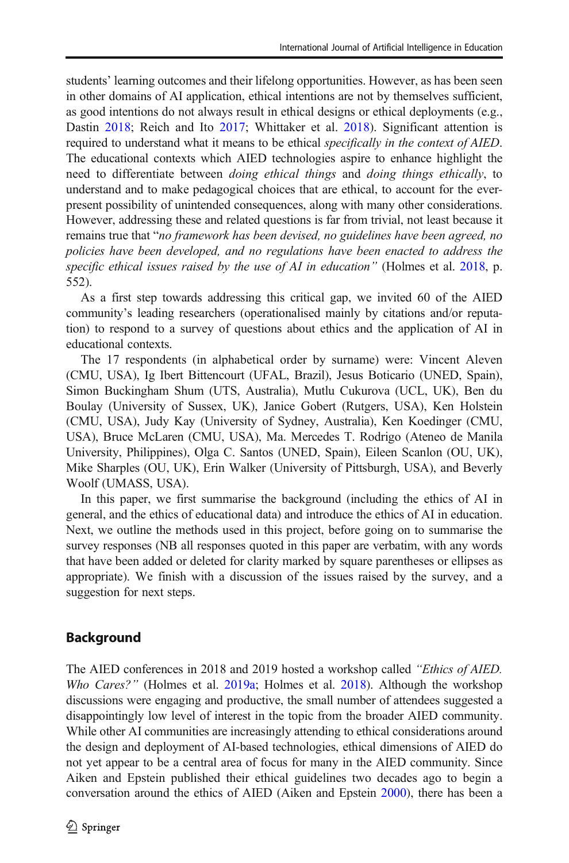students' learning outcomes and their lifelong opportunities. However, as has been seen in other domains of AI application, ethical intentions are not by themselves sufficient, as good intentions do not always result in ethical designs or ethical deployments (e.g., Dastin [2018;](#page-22-0) Reich and Ito [2017](#page-23-0); Whittaker et al. [2018\)](#page-24-0). Significant attention is required to understand what it means to be ethical *specifically in the context of AIED*. The educational contexts which AIED technologies aspire to enhance highlight the need to differentiate between *doing ethical things* and *doing things ethically*, to understand and to make pedagogical choices that are ethical, to account for the everpresent possibility of unintended consequences, along with many other considerations. However, addressing these and related questions is far from trivial, not least because it remains true that "no framework has been devised, no guidelines have been agreed, no policies have been developed, and no regulations have been enacted to address the specific ethical issues raised by the use of AI in education" (Holmes et al. [2018,](#page-22-0) p. 552).

As a first step towards addressing this critical gap, we invited 60 of the AIED community's leading researchers (operationalised mainly by citations and/or reputation) to respond to a survey of questions about ethics and the application of AI in educational contexts.

The 17 respondents (in alphabetical order by surname) were: Vincent Aleven (CMU, USA), Ig Ibert Bittencourt (UFAL, Brazil), Jesus Boticario (UNED, Spain), Simon Buckingham Shum (UTS, Australia), Mutlu Cukurova (UCL, UK), Ben du Boulay (University of Sussex, UK), Janice Gobert (Rutgers, USA), Ken Holstein (CMU, USA), Judy Kay (University of Sydney, Australia), Ken Koedinger (CMU, USA), Bruce McLaren (CMU, USA), Ma. Mercedes T. Rodrigo (Ateneo de Manila University, Philippines), Olga C. Santos (UNED, Spain), Eileen Scanlon (OU, UK), Mike Sharples (OU, UK), Erin Walker (University of Pittsburgh, USA), and Beverly Woolf (UMASS, USA).

In this paper, we first summarise the background (including the ethics of AI in general, and the ethics of educational data) and introduce the ethics of AI in education. Next, we outline the methods used in this project, before going on to summarise the survey responses (NB all responses quoted in this paper are verbatim, with any words that have been added or deleted for clarity marked by square parentheses or ellipses as appropriate). We finish with a discussion of the issues raised by the survey, and a suggestion for next steps.

# Background

The AIED conferences in 2018 and 2019 hosted a workshop called "Ethics of AIED. Who Cares?" (Holmes et al. [2019a](#page-23-0); Holmes et al. [2018\)](#page-22-0). Although the workshop discussions were engaging and productive, the small number of attendees suggested a disappointingly low level of interest in the topic from the broader AIED community. While other AI communities are increasingly attending to ethical considerations around the design and deployment of AI-based technologies, ethical dimensions of AIED do not yet appear to be a central area of focus for many in the AIED community. Since Aiken and Epstein published their ethical guidelines two decades ago to begin a conversation around the ethics of AIED (Aiken and Epstein [2000\)](#page-22-0), there has been a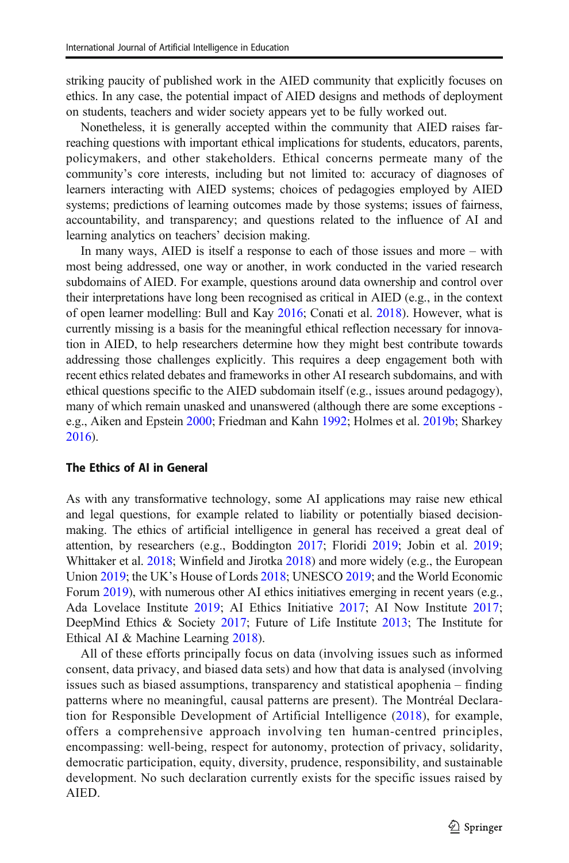striking paucity of published work in the AIED community that explicitly focuses on ethics. In any case, the potential impact of AIED designs and methods of deployment on students, teachers and wider society appears yet to be fully worked out.

Nonetheless, it is generally accepted within the community that AIED raises farreaching questions with important ethical implications for students, educators, parents, policymakers, and other stakeholders. Ethical concerns permeate many of the community's core interests, including but not limited to: accuracy of diagnoses of learners interacting with AIED systems; choices of pedagogies employed by AIED systems; predictions of learning outcomes made by those systems; issues of fairness, accountability, and transparency; and questions related to the influence of AI and learning analytics on teachers' decision making.

In many ways, AIED is itself a response to each of those issues and more – with most being addressed, one way or another, in work conducted in the varied research subdomains of AIED. For example, questions around data ownership and control over their interpretations have long been recognised as critical in AIED (e.g., in the context of open learner modelling: Bull and Kay [2016](#page-22-0); Conati et al. [2018](#page-22-0)). However, what is currently missing is a basis for the meaningful ethical reflection necessary for innovation in AIED, to help researchers determine how they might best contribute towards addressing those challenges explicitly. This requires a deep engagement both with recent ethics related debates and frameworks in other AI research subdomains, and with ethical questions specific to the AIED subdomain itself (e.g., issues around pedagogy), many of which remain unasked and unanswered (although there are some exceptions e.g., Aiken and Epstein [2000;](#page-22-0) Friedman and Kahn [1992](#page-22-0); Holmes et al. [2019b](#page-23-0); Sharkey [2016\)](#page-23-0).

#### The Ethics of AI in General

As with any transformative technology, some AI applications may raise new ethical and legal questions, for example related to liability or potentially biased decisionmaking. The ethics of artificial intelligence in general has received a great deal of attention, by researchers (e.g., Boddington [2017;](#page-22-0) Floridi [2019;](#page-22-0) Jobin et al. [2019;](#page-23-0) Whittaker et al. [2018](#page-24-0); Winfield and Jirotka [2018](#page-24-0)) and more widely (e.g., the European Union [2019](#page-22-0); the UK's House of Lords [2018](#page-23-0); UNESCO [2019;](#page-24-0) and the World Economic Forum [2019](#page-24-0)), with numerous other AI ethics initiatives emerging in recent years (e.g., Ada Lovelace Institute [2019](#page-22-0); AI Ethics Initiative [2017](#page-22-0); AI Now Institute [2017;](#page-22-0) DeepMind Ethics & Society [2017](#page-22-0); Future of Life Institute [2013;](#page-22-0) The Institute for Ethical AI & Machine Learning [2018](#page-24-0)).

All of these efforts principally focus on data (involving issues such as informed consent, data privacy, and biased data sets) and how that data is analysed (involving issues such as biased assumptions, transparency and statistical apophenia – finding patterns where no meaningful, causal patterns are present). The Montréal Declaration for Responsible Development of Artificial Intelligence ([2018](#page-24-0)), for example, offers a comprehensive approach involving ten human-centred principles, encompassing: well-being, respect for autonomy, protection of privacy, solidarity, democratic participation, equity, diversity, prudence, responsibility, and sustainable development. No such declaration currently exists for the specific issues raised by AIED.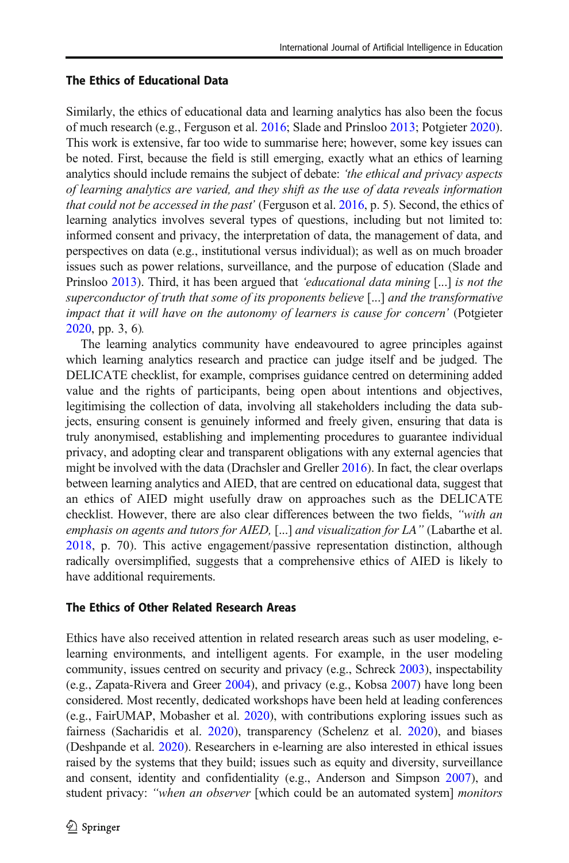#### The Ethics of Educational Data

Similarly, the ethics of educational data and learning analytics has also been the focus of much research (e.g., Ferguson et al. [2016](#page-22-0); Slade and Prinsloo [2013;](#page-23-0) Potgieter [2020\)](#page-23-0). This work is extensive, far too wide to summarise here; however, some key issues can be noted. First, because the field is still emerging, exactly what an ethics of learning analytics should include remains the subject of debate: 'the ethical and privacy aspects of learning analytics are varied, and they shift as the use of data reveals information that could not be accessed in the past' (Ferguson et al.  $2016$ , p. 5). Second, the ethics of learning analytics involves several types of questions, including but not limited to: informed consent and privacy, the interpretation of data, the management of data, and perspectives on data (e.g., institutional versus individual); as well as on much broader issues such as power relations, surveillance, and the purpose of education (Slade and Prinsloo [2013\)](#page-23-0). Third, it has been argued that 'educational data mining [...] is not the superconductor of truth that some of its proponents believe [...] and the transformative impact that it will have on the autonomy of learners is cause for concern' (Potgieter [2020,](#page-23-0) pp. 3, 6).

The learning analytics community have endeavoured to agree principles against which learning analytics research and practice can judge itself and be judged. The DELICATE checklist, for example, comprises guidance centred on determining added value and the rights of participants, being open about intentions and objectives, legitimising the collection of data, involving all stakeholders including the data subjects, ensuring consent is genuinely informed and freely given, ensuring that data is truly anonymised, establishing and implementing procedures to guarantee individual privacy, and adopting clear and transparent obligations with any external agencies that might be involved with the data (Drachsler and Greller [2016\)](#page-22-0). In fact, the clear overlaps between learning analytics and AIED, that are centred on educational data, suggest that an ethics of AIED might usefully draw on approaches such as the DELICATE checklist. However, there are also clear differences between the two fields, "with an emphasis on agents and tutors for AIED, [...] and visualization for LA" (Labarthe et al. [2018,](#page-23-0) p. 70). This active engagement/passive representation distinction, although radically oversimplified, suggests that a comprehensive ethics of AIED is likely to have additional requirements.

#### The Ethics of Other Related Research Areas

Ethics have also received attention in related research areas such as user modeling, elearning environments, and intelligent agents. For example, in the user modeling community, issues centred on security and privacy (e.g., Schreck [2003](#page-23-0)), inspectability (e.g., Zapata-Rivera and Greer [2004\)](#page-24-0), and privacy (e.g., Kobsa [2007\)](#page-23-0) have long been considered. Most recently, dedicated workshops have been held at leading conferences (e.g., FairUMAP, Mobasher et al. [2020](#page-23-0)), with contributions exploring issues such as fairness (Sacharidis et al. [2020\)](#page-23-0), transparency (Schelenz et al. [2020](#page-23-0)), and biases (Deshpande et al. [2020](#page-22-0)). Researchers in e-learning are also interested in ethical issues raised by the systems that they build; issues such as equity and diversity, surveillance and consent, identity and confidentiality (e.g., Anderson and Simpson [2007](#page-22-0)), and student privacy: "when an observer [which could be an automated system] monitors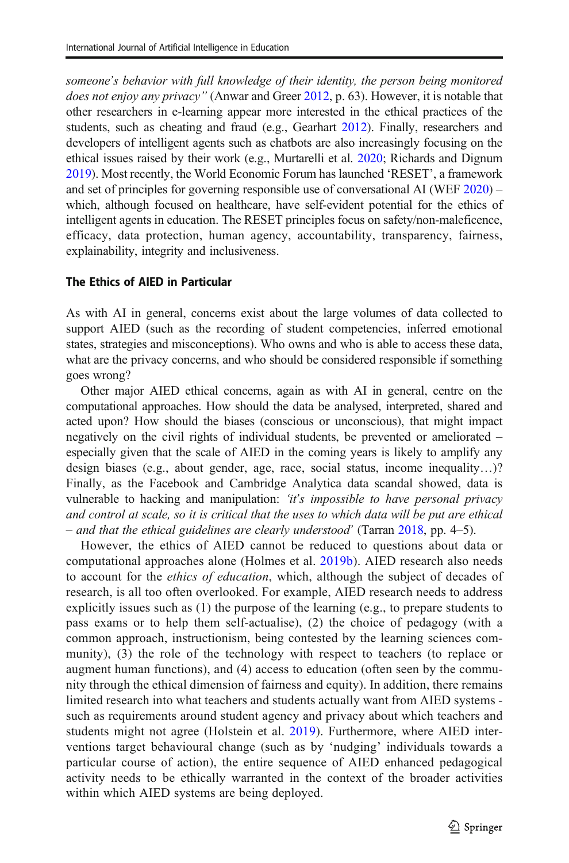someone's behavior with full knowledge of their identity, the person being monitored does not enjoy any privacy" (Anwar and Greer [2012](#page-22-0), p. 63). However, it is notable that other researchers in e-learning appear more interested in the ethical practices of the students, such as cheating and fraud (e.g., Gearhart [2012\)](#page-22-0). Finally, researchers and developers of intelligent agents such as chatbots are also increasingly focusing on the ethical issues raised by their work (e.g., Murtarelli et al. [2020;](#page-23-0) Richards and Dignum [2019\)](#page-23-0). Most recently, the World Economic Forum has launched 'RESET', a framework and set of principles for governing responsible use of conversational AI (WEF [2020\)](#page-24-0) – which, although focused on healthcare, have self-evident potential for the ethics of intelligent agents in education. The RESET principles focus on safety/non-maleficence, efficacy, data protection, human agency, accountability, transparency, fairness, explainability, integrity and inclusiveness.

#### The Ethics of AIED in Particular

As with AI in general, concerns exist about the large volumes of data collected to support AIED (such as the recording of student competencies, inferred emotional states, strategies and misconceptions). Who owns and who is able to access these data, what are the privacy concerns, and who should be considered responsible if something goes wrong?

Other major AIED ethical concerns, again as with AI in general, centre on the computational approaches. How should the data be analysed, interpreted, shared and acted upon? How should the biases (conscious or unconscious), that might impact negatively on the civil rights of individual students, be prevented or ameliorated – especially given that the scale of AIED in the coming years is likely to amplify any design biases (e.g., about gender, age, race, social status, income inequality…)? Finally, as the Facebook and Cambridge Analytica data scandal showed, data is vulnerable to hacking and manipulation: 'it's impossible to have personal privacy and control at scale, so it is critical that the uses to which data will be put are ethical – and that the ethical guidelines are clearly understood' (Tarran [2018](#page-24-0), pp. 4–5).

However, the ethics of AIED cannot be reduced to questions about data or computational approaches alone (Holmes et al. [2019b\)](#page-23-0). AIED research also needs to account for the ethics of education, which, although the subject of decades of research, is all too often overlooked. For example, AIED research needs to address explicitly issues such as (1) the purpose of the learning (e.g., to prepare students to pass exams or to help them self-actualise), (2) the choice of pedagogy (with a common approach, instructionism, being contested by the learning sciences community), (3) the role of the technology with respect to teachers (to replace or augment human functions), and (4) access to education (often seen by the community through the ethical dimension of fairness and equity). In addition, there remains limited research into what teachers and students actually want from AIED systems such as requirements around student agency and privacy about which teachers and students might not agree (Holstein et al. [2019](#page-23-0)). Furthermore, where AIED interventions target behavioural change (such as by 'nudging' individuals towards a particular course of action), the entire sequence of AIED enhanced pedagogical activity needs to be ethically warranted in the context of the broader activities within which AIED systems are being deployed.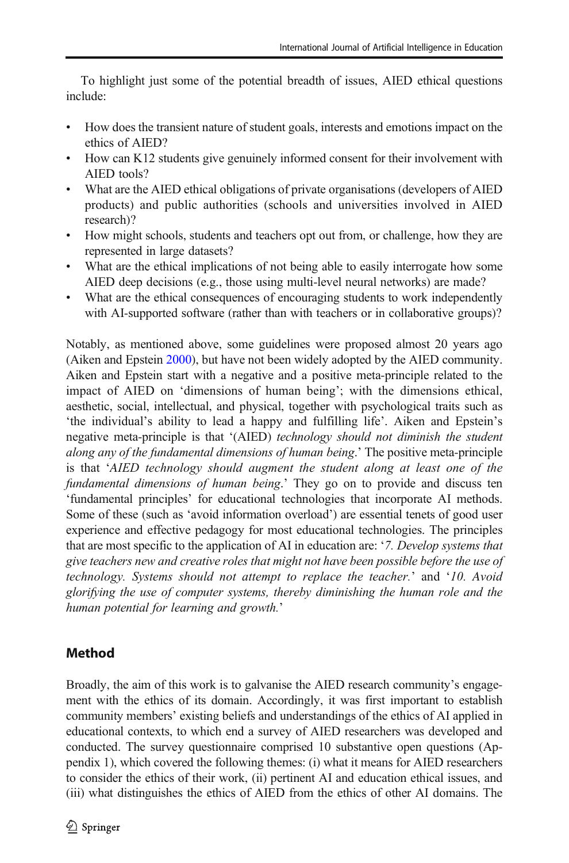To highlight just some of the potential breadth of issues, AIED ethical questions include:

- & How does the transient nature of student goals, interests and emotions impact on the ethics of AIED?
- & How can K12 students give genuinely informed consent for their involvement with AIED tools?
- & What are the AIED ethical obligations of private organisations (developers of AIED products) and public authorities (schools and universities involved in AIED research)?
- & How might schools, students and teachers opt out from, or challenge, how they are represented in large datasets?
- & What are the ethical implications of not being able to easily interrogate how some AIED deep decisions (e.g., those using multi-level neural networks) are made?
- What are the ethical consequences of encouraging students to work independently with AI-supported software (rather than with teachers or in collaborative groups)?

Notably, as mentioned above, some guidelines were proposed almost 20 years ago (Aiken and Epstein [2000\)](#page-22-0), but have not been widely adopted by the AIED community. Aiken and Epstein start with a negative and a positive meta-principle related to the impact of AIED on 'dimensions of human being'; with the dimensions ethical, aesthetic, social, intellectual, and physical, together with psychological traits such as 'the individual's ability to lead a happy and fulfilling life'. Aiken and Epstein's negative meta-principle is that '(AIED) technology should not diminish the student along any of the fundamental dimensions of human being.' The positive meta-principle is that 'AIED technology should augment the student along at least one of the fundamental dimensions of human being.' They go on to provide and discuss ten 'fundamental principles' for educational technologies that incorporate AI methods. Some of these (such as 'avoid information overload') are essential tenets of good user experience and effective pedagogy for most educational technologies. The principles that are most specific to the application of AI in education are: '7. Develop systems that give teachers new and creative roles that might not have been possible before the use of technology. Systems should not attempt to replace the teacher.' and '10. Avoid glorifying the use of computer systems, thereby diminishing the human role and the human potential for learning and growth.'

# Method

Broadly, the aim of this work is to galvanise the AIED research community's engagement with the ethics of its domain. Accordingly, it was first important to establish community members' existing beliefs and understandings of the ethics of AI applied in educational contexts, to which end a survey of AIED researchers was developed and conducted. The survey questionnaire comprised 10 substantive open questions (Appendix 1), which covered the following themes: (i) what it means for AIED researchers to consider the ethics of their work, (ii) pertinent AI and education ethical issues, and (iii) what distinguishes the ethics of AIED from the ethics of other AI domains. The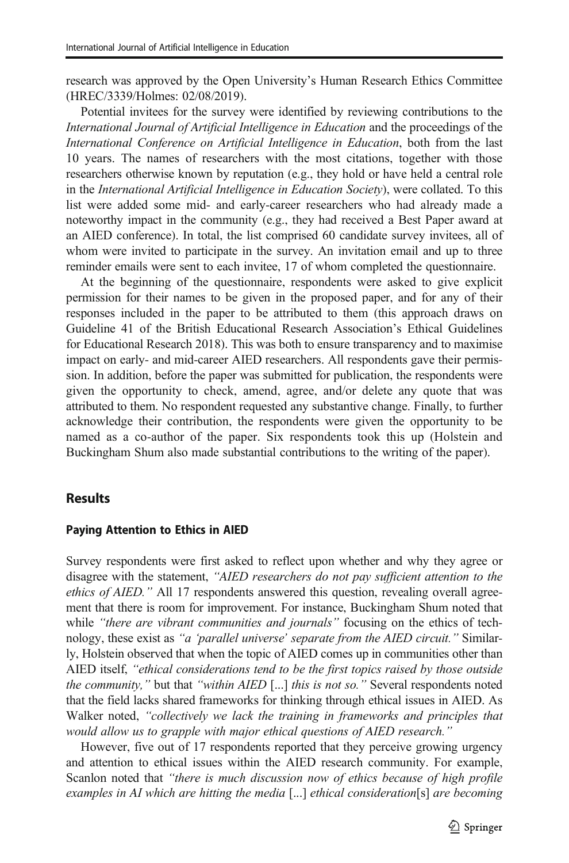research was approved by the Open University's Human Research Ethics Committee (HREC/3339/Holmes: 02/08/2019).

Potential invitees for the survey were identified by reviewing contributions to the International Journal of Artificial Intelligence in Education and the proceedings of the International Conference on Artificial Intelligence in Education, both from the last 10 years. The names of researchers with the most citations, together with those researchers otherwise known by reputation (e.g., they hold or have held a central role in the International Artificial Intelligence in Education Society), were collated. To this list were added some mid- and early-career researchers who had already made a noteworthy impact in the community (e.g., they had received a Best Paper award at an AIED conference). In total, the list comprised 60 candidate survey invitees, all of whom were invited to participate in the survey. An invitation email and up to three reminder emails were sent to each invitee, 17 of whom completed the questionnaire.

At the beginning of the questionnaire, respondents were asked to give explicit permission for their names to be given in the proposed paper, and for any of their responses included in the paper to be attributed to them (this approach draws on Guideline 41 of the British Educational Research Association's Ethical Guidelines for Educational Research 2018). This was both to ensure transparency and to maximise impact on early- and mid-career AIED researchers. All respondents gave their permission. In addition, before the paper was submitted for publication, the respondents were given the opportunity to check, amend, agree, and/or delete any quote that was attributed to them. No respondent requested any substantive change. Finally, to further acknowledge their contribution, the respondents were given the opportunity to be named as a co-author of the paper. Six respondents took this up (Holstein and Buckingham Shum also made substantial contributions to the writing of the paper).

#### **Results**

#### Paying Attention to Ethics in AIED

Survey respondents were first asked to reflect upon whether and why they agree or disagree with the statement, "AIED researchers do not pay sufficient attention to the ethics of AIED." All 17 respondents answered this question, revealing overall agreement that there is room for improvement. For instance, Buckingham Shum noted that while "there are vibrant communities and journals" focusing on the ethics of technology, these exist as "a 'parallel universe' separate from the AIED circuit." Similarly, Holstein observed that when the topic of AIED comes up in communities other than AIED itself, "ethical considerations tend to be the first topics raised by those outside the community," but that "within AIED [...] this is not so." Several respondents noted that the field lacks shared frameworks for thinking through ethical issues in AIED. As Walker noted, "collectively we lack the training in frameworks and principles that would allow us to grapple with major ethical questions of AIED research."

However, five out of 17 respondents reported that they perceive growing urgency and attention to ethical issues within the AIED research community. For example, Scanlon noted that "there is much discussion now of ethics because of high profile examples in AI which are hitting the media [...] ethical consideration[s] are becoming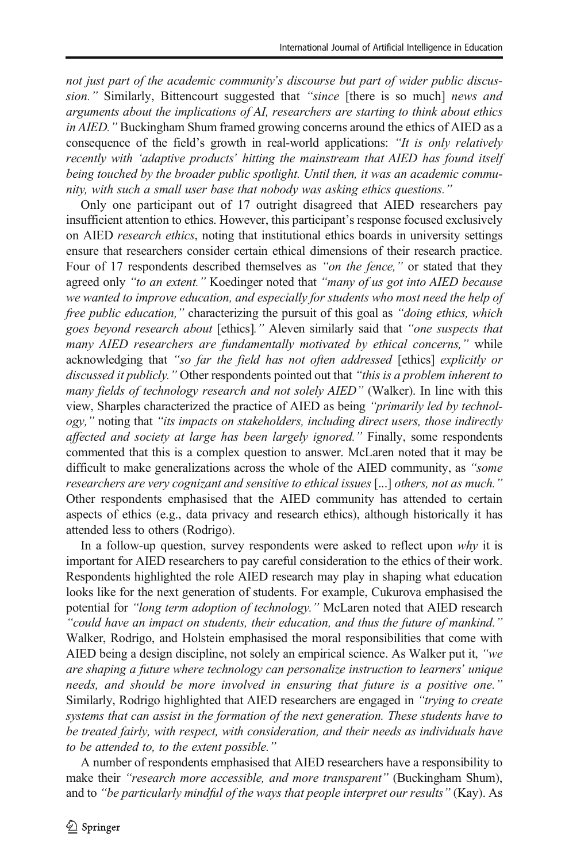not just part of the academic community's discourse but part of wider public discussion." Similarly, Bittencourt suggested that "since [there is so much] news and arguments about the implications of AI, researchers are starting to think about ethics in AIED." Buckingham Shum framed growing concerns around the ethics of AIED as a consequence of the field's growth in real-world applications: "It is only relatively recently with 'adaptive products' hitting the mainstream that AIED has found itself being touched by the broader public spotlight. Until then, it was an academic community, with such a small user base that nobody was asking ethics questions."

Only one participant out of 17 outright disagreed that AIED researchers pay insufficient attention to ethics. However, this participant's response focused exclusively on AIED research ethics, noting that institutional ethics boards in university settings ensure that researchers consider certain ethical dimensions of their research practice. Four of 17 respondents described themselves as "on the fence," or stated that they agreed only "to an extent." Koedinger noted that "many of us got into AIED because we wanted to improve education, and especially for students who most need the help of free public education," characterizing the pursuit of this goal as "doing ethics, which goes beyond research about [ethics]." Aleven similarly said that "one suspects that many AIED researchers are fundamentally motivated by ethical concerns," while acknowledging that "so far the field has not often addressed [ethics] explicitly or discussed it publicly." Other respondents pointed out that "this is a problem inherent to many fields of technology research and not solely AIED" (Walker). In line with this view, Sharples characterized the practice of AIED as being "primarily led by technology," noting that "its impacts on stakeholders, including direct users, those indirectly affected and society at large has been largely ignored." Finally, some respondents commented that this is a complex question to answer. McLaren noted that it may be difficult to make generalizations across the whole of the AIED community, as "some researchers are very cognizant and sensitive to ethical issues [...] others, not as much." Other respondents emphasised that the AIED community has attended to certain aspects of ethics (e.g., data privacy and research ethics), although historically it has attended less to others (Rodrigo).

In a follow-up question, survey respondents were asked to reflect upon  $why$  it is important for AIED researchers to pay careful consideration to the ethics of their work. Respondents highlighted the role AIED research may play in shaping what education looks like for the next generation of students. For example, Cukurova emphasised the potential for "long term adoption of technology." McLaren noted that AIED research "could have an impact on students, their education, and thus the future of mankind." Walker, Rodrigo, and Holstein emphasised the moral responsibilities that come with AIED being a design discipline, not solely an empirical science. As Walker put it, "we are shaping a future where technology can personalize instruction to learners' unique needs, and should be more involved in ensuring that future is a positive one." Similarly, Rodrigo highlighted that AIED researchers are engaged in "trying to create systems that can assist in the formation of the next generation. These students have to be treated fairly, with respect, with consideration, and their needs as individuals have to be attended to, to the extent possible."

A number of respondents emphasised that AIED researchers have a responsibility to make their "research more accessible, and more transparent" (Buckingham Shum), and to "be particularly mindful of the ways that people interpret our results" (Kay). As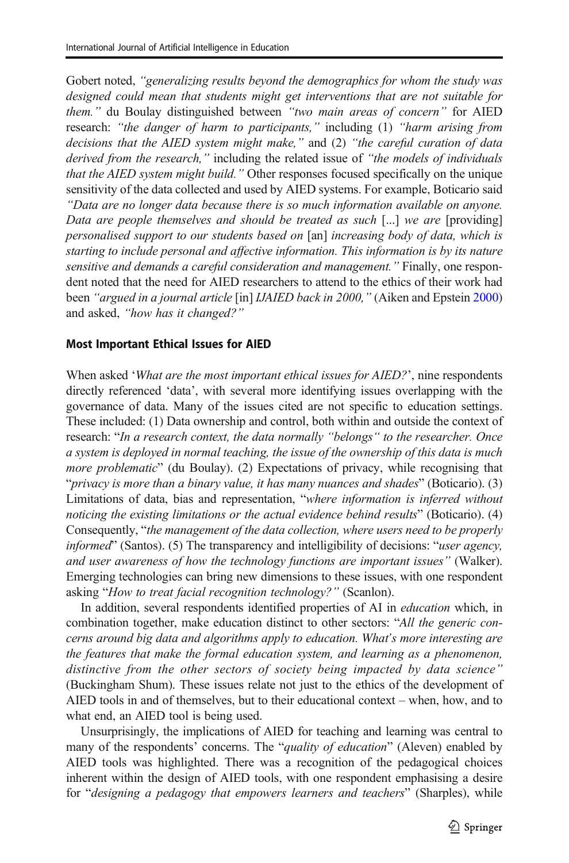Gobert noted, "generalizing results beyond the demographics for whom the study was designed could mean that students might get interventions that are not suitable for them." du Boulay distinguished between "two main areas of concern" for AIED research: "the danger of harm to participants," including (1) "harm arising from decisions that the AIED system might make," and (2) "the careful curation of data derived from the research," including the related issue of "the models of individuals that the AIED system might build." Other responses focused specifically on the unique sensitivity of the data collected and used by AIED systems. For example, Boticario said "Data are no longer data because there is so much information available on anyone. Data are people themselves and should be treated as such [...] we are [providing] personalised support to our students based on [an] increasing body of data, which is starting to include personal and affective information. This information is by its nature sensitive and demands a careful consideration and management." Finally, one respondent noted that the need for AIED researchers to attend to the ethics of their work had been "argued in a journal article [in] IJAIED back in [2000](#page-22-0)," (Aiken and Epstein 2000) and asked, "how has it changed?"

#### Most Important Ethical Issues for AIED

When asked 'What are the most important ethical issues for AIED?', nine respondents directly referenced 'data', with several more identifying issues overlapping with the governance of data. Many of the issues cited are not specific to education settings. These included: (1) Data ownership and control, both within and outside the context of research: "In a research context, the data normally "belongs" to the researcher. Once a system is deployed in normal teaching, the issue of the ownership of this data is much more problematic" (du Boulay). (2) Expectations of privacy, while recognising that "privacy is more than a binary value, it has many nuances and shades" (Boticario). (3) Limitations of data, bias and representation, "where information is inferred without noticing the existing limitations or the actual evidence behind results" (Boticario). (4) Consequently, "the management of the data collection, where users need to be properly informed" (Santos). (5) The transparency and intelligibility of decisions: "user agency, and user awareness of how the technology functions are important issues" (Walker). Emerging technologies can bring new dimensions to these issues, with one respondent asking "How to treat facial recognition technology?" (Scanlon).

In addition, several respondents identified properties of AI in education which, in combination together, make education distinct to other sectors: "All the generic concerns around big data and algorithms apply to education. What's more interesting are the features that make the formal education system, and learning as a phenomenon, distinctive from the other sectors of society being impacted by data science" (Buckingham Shum). These issues relate not just to the ethics of the development of AIED tools in and of themselves, but to their educational context – when, how, and to what end, an AIED tool is being used.

Unsurprisingly, the implications of AIED for teaching and learning was central to many of the respondents' concerns. The "quality of education" (Aleven) enabled by AIED tools was highlighted. There was a recognition of the pedagogical choices inherent within the design of AIED tools, with one respondent emphasising a desire for "designing a pedagogy that empowers learners and teachers" (Sharples), while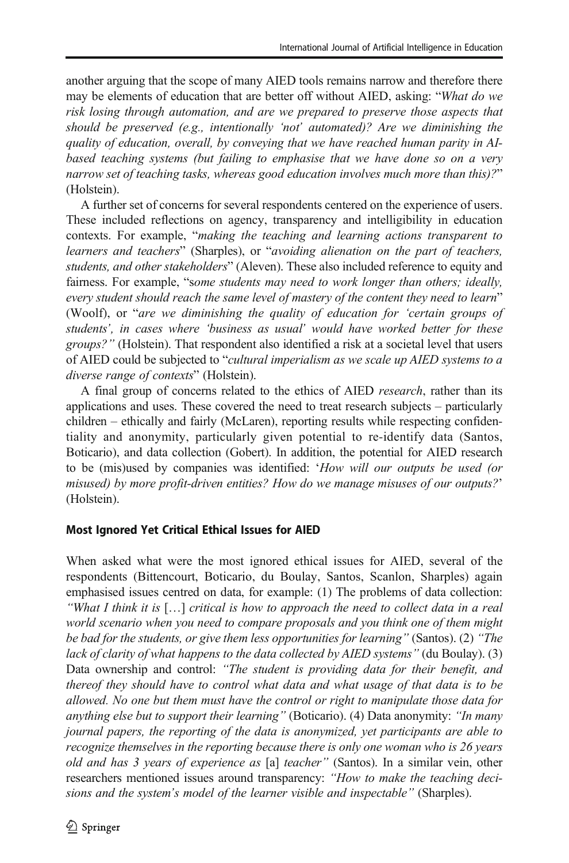another arguing that the scope of many AIED tools remains narrow and therefore there may be elements of education that are better off without AIED, asking: "What do we risk losing through automation, and are we prepared to preserve those aspects that should be preserved (e.g., intentionally 'not' automated)? Are we diminishing the quality of education, overall, by conveying that we have reached human parity in AIbased teaching systems (but failing to emphasise that we have done so on a very narrow set of teaching tasks, whereas good education involves much more than this)?" (Holstein).

A further set of concerns for several respondents centered on the experience of users. These included reflections on agency, transparency and intelligibility in education contexts. For example, "making the teaching and learning actions transparent to learners and teachers" (Sharples), or "avoiding alienation on the part of teachers, students, and other stakeholders" (Aleven). These also included reference to equity and fairness. For example, "some students may need to work longer than others; ideally, every student should reach the same level of mastery of the content they need to learn" (Woolf), or "are we diminishing the quality of education for 'certain groups of students', in cases where 'business as usual' would have worked better for these groups?" (Holstein). That respondent also identified a risk at a societal level that users of AIED could be subjected to "cultural imperialism as we scale up AIED systems to a diverse range of contexts" (Holstein).

A final group of concerns related to the ethics of AIED research, rather than its applications and uses. These covered the need to treat research subjects – particularly children – ethically and fairly (McLaren), reporting results while respecting confidentiality and anonymity, particularly given potential to re-identify data (Santos, Boticario), and data collection (Gobert). In addition, the potential for AIED research to be (mis)used by companies was identified: 'How will our outputs be used (or misused) by more profit-driven entities? How do we manage misuses of our outputs?' (Holstein).

#### Most Ignored Yet Critical Ethical Issues for AIED

When asked what were the most ignored ethical issues for AIED, several of the respondents (Bittencourt, Boticario, du Boulay, Santos, Scanlon, Sharples) again emphasised issues centred on data, for example: (1) The problems of data collection: "What I think it is […] critical is how to approach the need to collect data in a real world scenario when you need to compare proposals and you think one of them might be bad for the students, or give them less opportunities for learning" (Santos). (2) "The lack of clarity of what happens to the data collected by AIED systems" (du Boulay). (3) Data ownership and control: "The student is providing data for their benefit, and thereof they should have to control what data and what usage of that data is to be allowed. No one but them must have the control or right to manipulate those data for anything else but to support their learning" (Boticario). (4) Data anonymity: "In many journal papers, the reporting of the data is anonymized, yet participants are able to recognize themselves in the reporting because there is only one woman who is 26 years old and has 3 years of experience as [a] teacher" (Santos). In a similar vein, other researchers mentioned issues around transparency: "How to make the teaching decisions and the system's model of the learner visible and inspectable" (Sharples).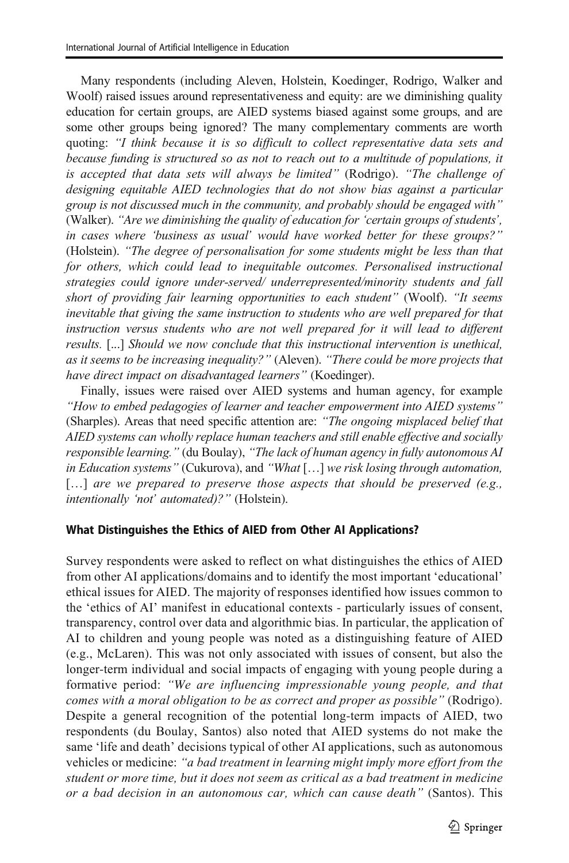Many respondents (including Aleven, Holstein, Koedinger, Rodrigo, Walker and Woolf) raised issues around representativeness and equity: are we diminishing quality education for certain groups, are AIED systems biased against some groups, and are some other groups being ignored? The many complementary comments are worth quoting: "I think because it is so difficult to collect representative data sets and because funding is structured so as not to reach out to a multitude of populations, it is accepted that data sets will always be limited" (Rodrigo). "The challenge of designing equitable AIED technologies that do not show bias against a particular group is not discussed much in the community, and probably should be engaged with" (Walker). "Are we diminishing the quality of education for 'certain groups of students', in cases where 'business as usual' would have worked better for these groups?" (Holstein). "The degree of personalisation for some students might be less than that for others, which could lead to inequitable outcomes. Personalised instructional strategies could ignore under-served/ underrepresented/minority students and fall short of providing fair learning opportunities to each student" (Woolf). "It seems inevitable that giving the same instruction to students who are well prepared for that instruction versus students who are not well prepared for it will lead to different results. [...] Should we now conclude that this instructional intervention is unethical, as it seems to be increasing inequality?" (Aleven). "There could be more projects that have direct impact on disadvantaged learners" (Koedinger).

Finally, issues were raised over AIED systems and human agency, for example "How to embed pedagogies of learner and teacher empowerment into AIED systems" (Sharples). Areas that need specific attention are: "The ongoing misplaced belief that AIED systems can wholly replace human teachers and still enable effective and socially responsible learning." (du Boulay), "The lack of human agency in fully autonomous AI in Education systems" (Cukurova), and "What […] we risk losing through automation, [...] are we prepared to preserve those aspects that should be preserved (e.g., intentionally 'not' automated)?" (Holstein).

#### What Distinguishes the Ethics of AIED from Other AI Applications?

Survey respondents were asked to reflect on what distinguishes the ethics of AIED from other AI applications/domains and to identify the most important 'educational' ethical issues for AIED. The majority of responses identified how issues common to the 'ethics of AI' manifest in educational contexts - particularly issues of consent, transparency, control over data and algorithmic bias. In particular, the application of AI to children and young people was noted as a distinguishing feature of AIED (e.g., McLaren). This was not only associated with issues of consent, but also the longer-term individual and social impacts of engaging with young people during a formative period: "We are influencing impressionable young people, and that comes with a moral obligation to be as correct and proper as possible" (Rodrigo). Despite a general recognition of the potential long-term impacts of AIED, two respondents (du Boulay, Santos) also noted that AIED systems do not make the same 'life and death' decisions typical of other AI applications, such as autonomous vehicles or medicine: "a bad treatment in learning might imply more effort from the student or more time, but it does not seem as critical as a bad treatment in medicine or a bad decision in an autonomous car, which can cause death" (Santos). This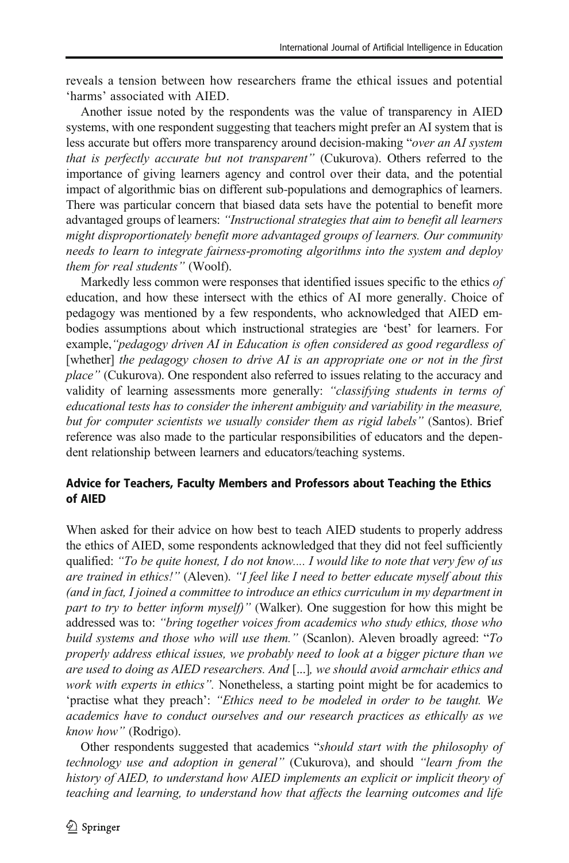reveals a tension between how researchers frame the ethical issues and potential 'harms' associated with AIED.

Another issue noted by the respondents was the value of transparency in AIED systems, with one respondent suggesting that teachers might prefer an AI system that is less accurate but offers more transparency around decision-making "over an AI system that is perfectly accurate but not transparent" (Cukurova). Others referred to the importance of giving learners agency and control over their data, and the potential impact of algorithmic bias on different sub-populations and demographics of learners. There was particular concern that biased data sets have the potential to benefit more advantaged groups of learners: "Instructional strategies that aim to benefit all learners might disproportionately benefit more advantaged groups of learners. Our community needs to learn to integrate fairness-promoting algorithms into the system and deploy them for real students" (Woolf).

Markedly less common were responses that identified issues specific to the ethics of education, and how these intersect with the ethics of AI more generally. Choice of pedagogy was mentioned by a few respondents, who acknowledged that AIED embodies assumptions about which instructional strategies are 'best' for learners. For example, "pedagogy driven AI in Education is often considered as good regardless of [whether] the pedagogy chosen to drive AI is an appropriate one or not in the first place" (Cukurova). One respondent also referred to issues relating to the accuracy and validity of learning assessments more generally: "classifying students in terms of educational tests has to consider the inherent ambiguity and variability in the measure, but for computer scientists we usually consider them as rigid labels" (Santos). Brief reference was also made to the particular responsibilities of educators and the dependent relationship between learners and educators/teaching systems.

#### Advice for Teachers, Faculty Members and Professors about Teaching the Ethics of AIED

When asked for their advice on how best to teach AIED students to properly address the ethics of AIED, some respondents acknowledged that they did not feel sufficiently qualified: "To be quite honest, I do not know.... I would like to note that very few of us are trained in ethics!" (Aleven). "I feel like I need to better educate myself about this (and in fact, I joined a committee to introduce an ethics curriculum in my department in part to try to better inform myself)" (Walker). One suggestion for how this might be addressed was to: "bring together voices from academics who study ethics, those who build systems and those who will use them." (Scanlon). Aleven broadly agreed: "To properly address ethical issues, we probably need to look at a bigger picture than we are used to doing as AIED researchers. And [...], we should avoid armchair ethics and work with experts in ethics". Nonetheless, a starting point might be for academics to 'practise what they preach': "Ethics need to be modeled in order to be taught. We academics have to conduct ourselves and our research practices as ethically as we know how" (Rodrigo).

Other respondents suggested that academics "should start with the philosophy of technology use and adoption in general" (Cukurova), and should "learn from the history of AIED, to understand how AIED implements an explicit or implicit theory of teaching and learning, to understand how that affects the learning outcomes and life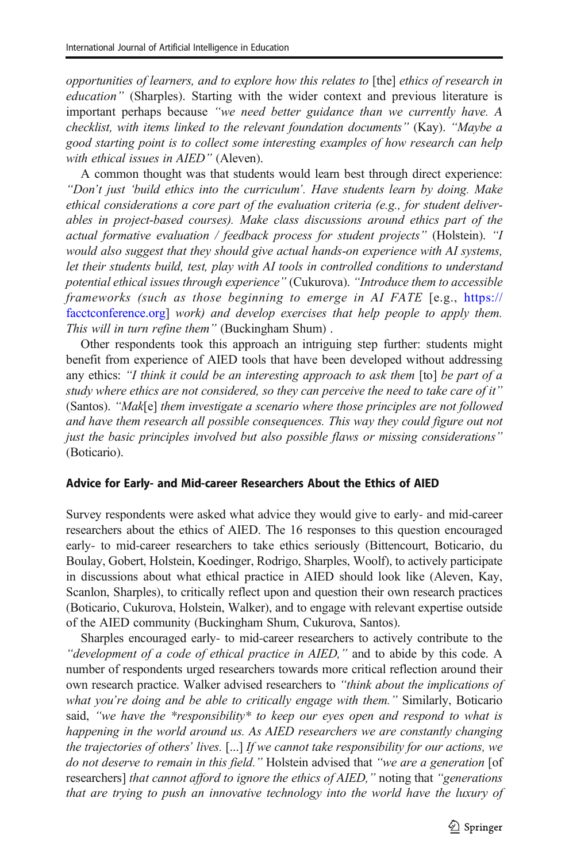opportunities of learners, and to explore how this relates to [the] ethics of research in education" (Sharples). Starting with the wider context and previous literature is important perhaps because "we need better guidance than we currently have. A checklist, with items linked to the relevant foundation documents" (Kay). "Maybe a good starting point is to collect some interesting examples of how research can help with ethical issues in AIED" (Aleven).

A common thought was that students would learn best through direct experience: "Don't just 'build ethics into the curriculum'. Have students learn by doing. Make ethical considerations a core part of the evaluation criteria (e.g., for student deliverables in project-based courses). Make class discussions around ethics part of the actual formative evaluation / feedback process for student projects" (Holstein). "I would also suggest that they should give actual hands-on experience with AI systems, let their students build, test, play with AI tools in controlled conditions to understand potential ethical issues through experience" (Cukurova). "Introduce them to accessible frameworks (such as those beginning to emerge in AI FATE [e.g., [https://](https://facctconference.org) [facctconference.org\]](https://facctconference.org) work) and develop exercises that help people to apply them. This will in turn refine them" (Buckingham Shum) .

Other respondents took this approach an intriguing step further: students might benefit from experience of AIED tools that have been developed without addressing any ethics: "I think it could be an interesting approach to ask them [to] be part of a study where ethics are not considered, so they can perceive the need to take care of it" (Santos). "Mak[e] them investigate a scenario where those principles are not followed and have them research all possible consequences. This way they could figure out not just the basic principles involved but also possible flaws or missing considerations" (Boticario).

#### Advice for Early- and Mid-career Researchers About the Ethics of AIED

Survey respondents were asked what advice they would give to early- and mid-career researchers about the ethics of AIED. The 16 responses to this question encouraged early- to mid-career researchers to take ethics seriously (Bittencourt, Boticario, du Boulay, Gobert, Holstein, Koedinger, Rodrigo, Sharples, Woolf), to actively participate in discussions about what ethical practice in AIED should look like (Aleven, Kay, Scanlon, Sharples), to critically reflect upon and question their own research practices (Boticario, Cukurova, Holstein, Walker), and to engage with relevant expertise outside of the AIED community (Buckingham Shum, Cukurova, Santos).

Sharples encouraged early- to mid-career researchers to actively contribute to the "development of a code of ethical practice in AIED," and to abide by this code. A number of respondents urged researchers towards more critical reflection around their own research practice. Walker advised researchers to "think about the implications of what you're doing and be able to critically engage with them." Similarly, Boticario said, "we have the \*responsibility\* to keep our eyes open and respond to what is happening in the world around us. As AIED researchers we are constantly changing the trajectories of others' lives. [...] If we cannot take responsibility for our actions, we do not deserve to remain in this field." Holstein advised that "we are a generation [of researchers] that cannot afford to ignore the ethics of AIED," noting that "generations that are trying to push an innovative technology into the world have the luxury of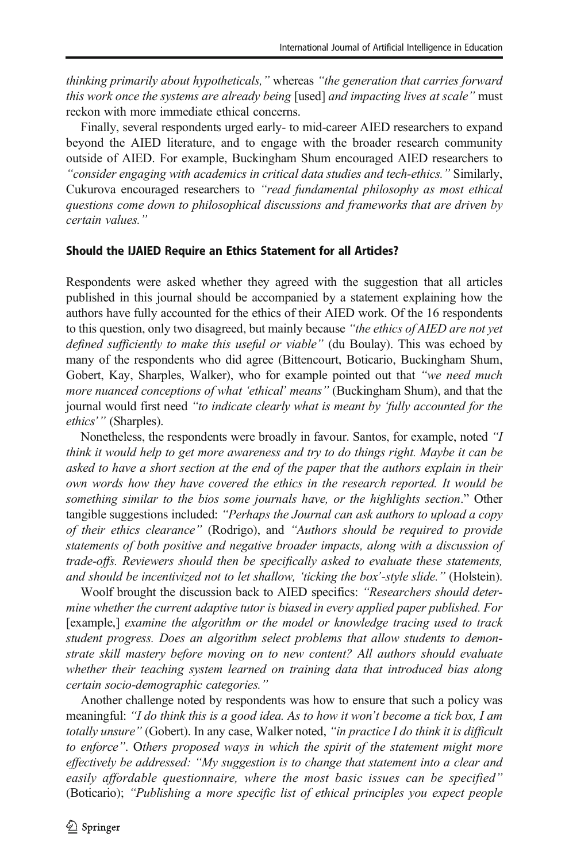thinking primarily about hypotheticals," whereas "the generation that carries forward this work once the systems are already being [used] and impacting lives at scale" must reckon with more immediate ethical concerns.

Finally, several respondents urged early- to mid-career AIED researchers to expand beyond the AIED literature, and to engage with the broader research community outside of AIED. For example, Buckingham Shum encouraged AIED researchers to "consider engaging with academics in critical data studies and tech-ethics." Similarly, Cukurova encouraged researchers to "read fundamental philosophy as most ethical questions come down to philosophical discussions and frameworks that are driven by certain values."

#### Should the IJAIED Require an Ethics Statement for all Articles?

Respondents were asked whether they agreed with the suggestion that all articles published in this journal should be accompanied by a statement explaining how the authors have fully accounted for the ethics of their AIED work. Of the 16 respondents to this question, only two disagreed, but mainly because "the ethics of AIED are not yet defined sufficiently to make this useful or viable" (du Boulay). This was echoed by many of the respondents who did agree (Bittencourt, Boticario, Buckingham Shum, Gobert, Kay, Sharples, Walker), who for example pointed out that "we need much more nuanced conceptions of what 'ethical' means" (Buckingham Shum), and that the journal would first need "to indicate clearly what is meant by 'fully accounted for the ethics'" (Sharples).

Nonetheless, the respondents were broadly in favour. Santos, for example, noted "I think it would help to get more awareness and try to do things right. Maybe it can be asked to have a short section at the end of the paper that the authors explain in their own words how they have covered the ethics in the research reported. It would be something similar to the bios some journals have, or the highlights section." Other tangible suggestions included: "Perhaps the Journal can ask authors to upload a copy of their ethics clearance" (Rodrigo), and "Authors should be required to provide statements of both positive and negative broader impacts, along with a discussion of trade-offs. Reviewers should then be specifically asked to evaluate these statements, and should be incentivized not to let shallow, 'ticking the box'-style slide." (Holstein).

Woolf brought the discussion back to AIED specifics: "Researchers should determine whether the current adaptive tutor is biased in every applied paper published. For [example,] examine the algorithm or the model or knowledge tracing used to track student progress. Does an algorithm select problems that allow students to demonstrate skill mastery before moving on to new content? All authors should evaluate whether their teaching system learned on training data that introduced bias along certain socio-demographic categories."

Another challenge noted by respondents was how to ensure that such a policy was meaningful: "I do think this is a good idea. As to how it won't become a tick box, I am totally unsure" (Gobert). In any case, Walker noted, "in practice I do think it is difficult to enforce". Others proposed ways in which the spirit of the statement might more effectively be addressed: "My suggestion is to change that statement into a clear and easily affordable questionnaire, where the most basic issues can be specified" (Boticario); "Publishing a more specific list of ethical principles you expect people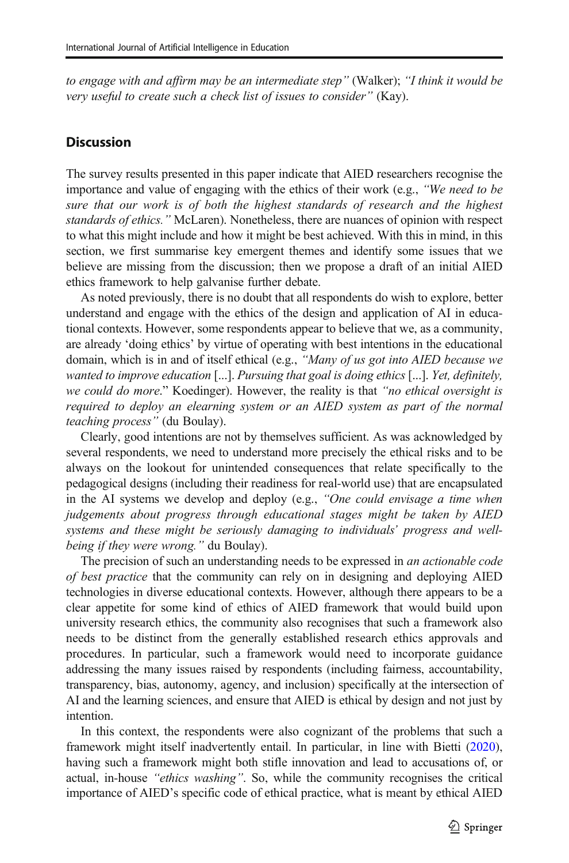to engage with and affirm may be an intermediate step" (Walker); "I think it would be very useful to create such a check list of issues to consider" (Kay).

#### **Discussion**

The survey results presented in this paper indicate that AIED researchers recognise the importance and value of engaging with the ethics of their work (e.g., "We need to be sure that our work is of both the highest standards of research and the highest standards of ethics." McLaren). Nonetheless, there are nuances of opinion with respect to what this might include and how it might be best achieved. With this in mind, in this section, we first summarise key emergent themes and identify some issues that we believe are missing from the discussion; then we propose a draft of an initial AIED ethics framework to help galvanise further debate.

As noted previously, there is no doubt that all respondents do wish to explore, better understand and engage with the ethics of the design and application of AI in educational contexts. However, some respondents appear to believe that we, as a community, are already 'doing ethics' by virtue of operating with best intentions in the educational domain, which is in and of itself ethical (e.g., "Many of us got into AIED because we wanted to improve education [...]. Pursuing that goal is doing ethics [...]. Yet, definitely, we could do more." Koedinger). However, the reality is that "no ethical oversight is required to deploy an elearning system or an AIED system as part of the normal teaching process" (du Boulay).

Clearly, good intentions are not by themselves sufficient. As was acknowledged by several respondents, we need to understand more precisely the ethical risks and to be always on the lookout for unintended consequences that relate specifically to the pedagogical designs (including their readiness for real-world use) that are encapsulated in the AI systems we develop and deploy (e.g., "One could envisage a time when judgements about progress through educational stages might be taken by AIED systems and these might be seriously damaging to individuals' progress and wellbeing if they were wrong." du Boulay).

The precision of such an understanding needs to be expressed in an actionable code of best practice that the community can rely on in designing and deploying AIED technologies in diverse educational contexts. However, although there appears to be a clear appetite for some kind of ethics of AIED framework that would build upon university research ethics, the community also recognises that such a framework also needs to be distinct from the generally established research ethics approvals and procedures. In particular, such a framework would need to incorporate guidance addressing the many issues raised by respondents (including fairness, accountability, transparency, bias, autonomy, agency, and inclusion) specifically at the intersection of AI and the learning sciences, and ensure that AIED is ethical by design and not just by intention.

In this context, the respondents were also cognizant of the problems that such a framework might itself inadvertently entail. In particular, in line with Bietti [\(2020\)](#page-22-0), having such a framework might both stifle innovation and lead to accusations of, or actual, in-house "ethics washing". So, while the community recognises the critical importance of AIED's specific code of ethical practice, what is meant by ethical AIED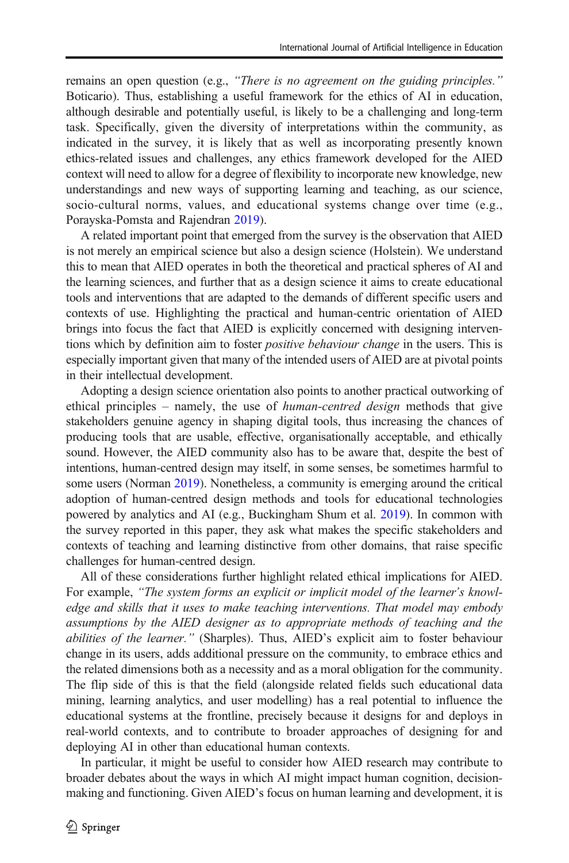remains an open question (e.g., "There is no agreement on the guiding principles." Boticario). Thus, establishing a useful framework for the ethics of AI in education, although desirable and potentially useful, is likely to be a challenging and long-term task. Specifically, given the diversity of interpretations within the community, as indicated in the survey, it is likely that as well as incorporating presently known ethics-related issues and challenges, any ethics framework developed for the AIED context will need to allow for a degree of flexibility to incorporate new knowledge, new understandings and new ways of supporting learning and teaching, as our science, socio-cultural norms, values, and educational systems change over time (e.g., Porayska-Pomsta and Rajendran [2019\)](#page-23-0).

A related important point that emerged from the survey is the observation that AIED is not merely an empirical science but also a design science (Holstein). We understand this to mean that AIED operates in both the theoretical and practical spheres of AI and the learning sciences, and further that as a design science it aims to create educational tools and interventions that are adapted to the demands of different specific users and contexts of use. Highlighting the practical and human-centric orientation of AIED brings into focus the fact that AIED is explicitly concerned with designing interventions which by definition aim to foster *positive behaviour change* in the users. This is especially important given that many of the intended users of AIED are at pivotal points in their intellectual development.

Adopting a design science orientation also points to another practical outworking of ethical principles – namely, the use of *human-centred design* methods that give stakeholders genuine agency in shaping digital tools, thus increasing the chances of producing tools that are usable, effective, organisationally acceptable, and ethically sound. However, the AIED community also has to be aware that, despite the best of intentions, human-centred design may itself, in some senses, be sometimes harmful to some users (Norman [2019](#page-23-0)). Nonetheless, a community is emerging around the critical adoption of human-centred design methods and tools for educational technologies powered by analytics and AI (e.g., Buckingham Shum et al. [2019](#page-22-0)). In common with the survey reported in this paper, they ask what makes the specific stakeholders and contexts of teaching and learning distinctive from other domains, that raise specific challenges for human-centred design.

All of these considerations further highlight related ethical implications for AIED. For example, "The system forms an explicit or implicit model of the learner's knowledge and skills that it uses to make teaching interventions. That model may embody assumptions by the AIED designer as to appropriate methods of teaching and the abilities of the learner." (Sharples). Thus, AIED's explicit aim to foster behaviour change in its users, adds additional pressure on the community, to embrace ethics and the related dimensions both as a necessity and as a moral obligation for the community. The flip side of this is that the field (alongside related fields such educational data mining, learning analytics, and user modelling) has a real potential to influence the educational systems at the frontline, precisely because it designs for and deploys in real-world contexts, and to contribute to broader approaches of designing for and deploying AI in other than educational human contexts.

In particular, it might be useful to consider how AIED research may contribute to broader debates about the ways in which AI might impact human cognition, decisionmaking and functioning. Given AIED's focus on human learning and development, it is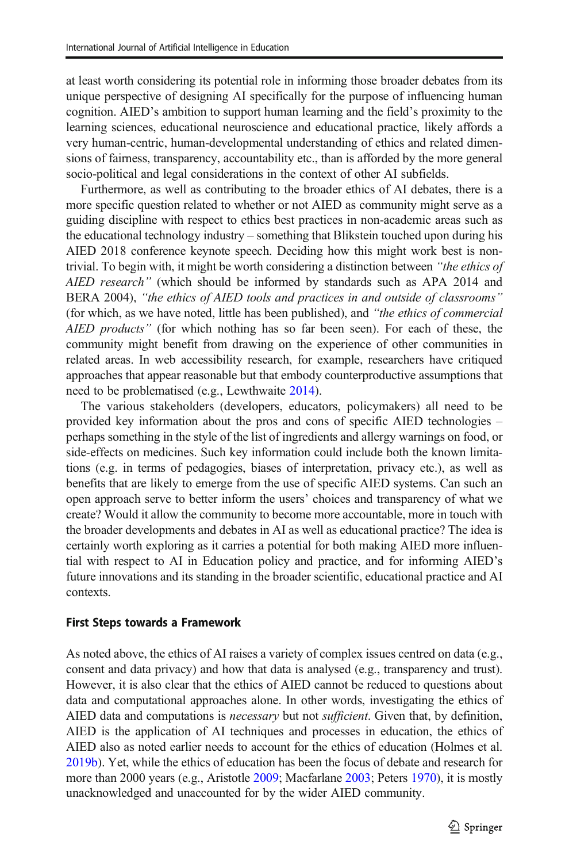at least worth considering its potential role in informing those broader debates from its unique perspective of designing AI specifically for the purpose of influencing human cognition. AIED's ambition to support human learning and the field's proximity to the learning sciences, educational neuroscience and educational practice, likely affords a very human-centric, human-developmental understanding of ethics and related dimensions of fairness, transparency, accountability etc., than is afforded by the more general socio-political and legal considerations in the context of other AI subfields.

Furthermore, as well as contributing to the broader ethics of AI debates, there is a more specific question related to whether or not AIED as community might serve as a guiding discipline with respect to ethics best practices in non-academic areas such as the educational technology industry – something that Blikstein touched upon during his AIED 2018 conference keynote speech. Deciding how this might work best is nontrivial. To begin with, it might be worth considering a distinction between "*the ethics of* AIED research" (which should be informed by standards such as APA 2014 and BERA 2004), "the ethics of AIED tools and practices in and outside of classrooms" (for which, as we have noted, little has been published), and "the ethics of commercial AIED products" (for which nothing has so far been seen). For each of these, the community might benefit from drawing on the experience of other communities in related areas. In web accessibility research, for example, researchers have critiqued approaches that appear reasonable but that embody counterproductive assumptions that need to be problematised (e.g., Lewthwaite [2014](#page-23-0)).

The various stakeholders (developers, educators, policymakers) all need to be provided key information about the pros and cons of specific AIED technologies – perhaps something in the style of the list of ingredients and allergy warnings on food, or side-effects on medicines. Such key information could include both the known limitations (e.g. in terms of pedagogies, biases of interpretation, privacy etc.), as well as benefits that are likely to emerge from the use of specific AIED systems. Can such an open approach serve to better inform the users' choices and transparency of what we create? Would it allow the community to become more accountable, more in touch with the broader developments and debates in AI as well as educational practice? The idea is certainly worth exploring as it carries a potential for both making AIED more influential with respect to AI in Education policy and practice, and for informing AIED's future innovations and its standing in the broader scientific, educational practice and AI contexts.

#### First Steps towards a Framework

As noted above, the ethics of AI raises a variety of complex issues centred on data (e.g., consent and data privacy) and how that data is analysed (e.g., transparency and trust). However, it is also clear that the ethics of AIED cannot be reduced to questions about data and computational approaches alone. In other words, investigating the ethics of AIED data and computations is *necessary* but not *sufficient*. Given that, by definition, AIED is the application of AI techniques and processes in education, the ethics of AIED also as noted earlier needs to account for the ethics of education (Holmes et al. [2019b](#page-23-0)). Yet, while the ethics of education has been the focus of debate and research for more than 2000 years (e.g., Aristotle [2009](#page-22-0); Macfarlane [2003](#page-23-0); Peters [1970](#page-23-0)), it is mostly unacknowledged and unaccounted for by the wider AIED community.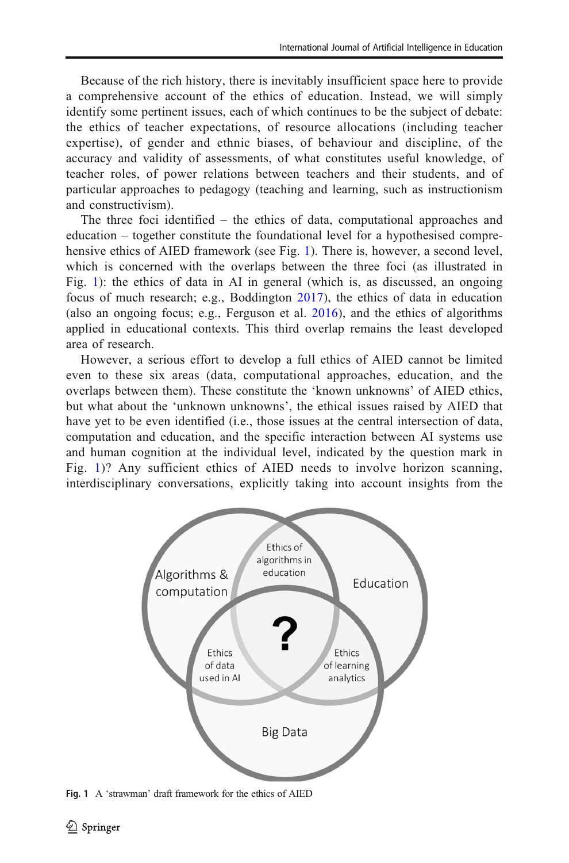Because of the rich history, there is inevitably insufficient space here to provide a comprehensive account of the ethics of education. Instead, we will simply identify some pertinent issues, each of which continues to be the subject of debate: the ethics of teacher expectations, of resource allocations (including teacher expertise), of gender and ethnic biases, of behaviour and discipline, of the accuracy and validity of assessments, of what constitutes useful knowledge, of teacher roles, of power relations between teachers and their students, and of particular approaches to pedagogy (teaching and learning, such as instructionism and constructivism).

The three foci identified – the ethics of data, computational approaches and education – together constitute the foundational level for a hypothesised comprehensive ethics of AIED framework (see Fig. 1). There is, however, a second level, which is concerned with the overlaps between the three foci (as illustrated in Fig. 1): the ethics of data in AI in general (which is, as discussed, an ongoing focus of much research; e.g., Boddington [2017\)](#page-22-0), the ethics of data in education (also an ongoing focus; e.g., Ferguson et al. [2016](#page-22-0)), and the ethics of algorithms applied in educational contexts. This third overlap remains the least developed area of research.

However, a serious effort to develop a full ethics of AIED cannot be limited even to these six areas (data, computational approaches, education, and the overlaps between them). These constitute the 'known unknowns' of AIED ethics, but what about the 'unknown unknowns', the ethical issues raised by AIED that have yet to be even identified (i.e., those issues at the central intersection of data, computation and education, and the specific interaction between AI systems use and human cognition at the individual level, indicated by the question mark in Fig. 1)? Any sufficient ethics of AIED needs to involve horizon scanning, interdisciplinary conversations, explicitly taking into account insights from the



Fig. 1 A 'strawman' draft framework for the ethics of AIED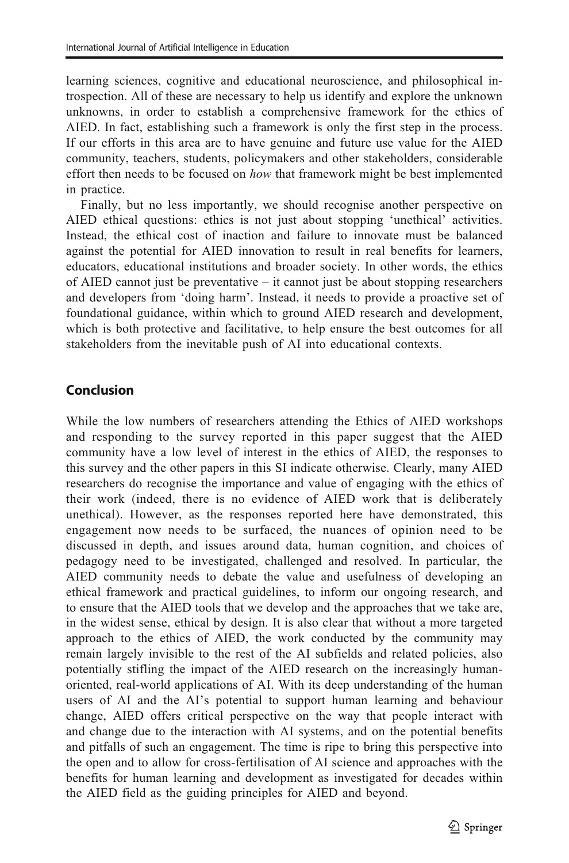learning sciences, cognitive and educational neuroscience, and philosophical introspection. All of these are necessary to help us identify and explore the unknown unknowns, in order to establish a comprehensive framework for the ethics of AIED. In fact, establishing such a framework is only the first step in the process. If our efforts in this area are to have genuine and future use value for the AIED community, teachers, students, policymakers and other stakeholders, considerable effort then needs to be focused on how that framework might be best implemented in practice.

Finally, but no less importantly, we should recognise another perspective on AIED ethical questions: ethics is not just about stopping 'unethical' activities. Instead, the ethical cost of inaction and failure to innovate must be balanced against the potential for AIED innovation to result in real benefits for learners, educators, educational institutions and broader society. In other words, the ethics of AIED cannot just be preventative – it cannot just be about stopping researchers and developers from 'doing harm'. Instead, it needs to provide a proactive set of foundational guidance, within which to ground AIED research and development, which is both protective and facilitative, to help ensure the best outcomes for all stakeholders from the inevitable push of AI into educational contexts.

#### Conclusion

While the low numbers of researchers attending the Ethics of AIED workshops and responding to the survey reported in this paper suggest that the AIED community have a low level of interest in the ethics of AIED, the responses to this survey and the other papers in this SI indicate otherwise. Clearly, many AIED researchers do recognise the importance and value of engaging with the ethics of their work (indeed, there is no evidence of AIED work that is deliberately unethical). However, as the responses reported here have demonstrated, this engagement now needs to be surfaced, the nuances of opinion need to be discussed in depth, and issues around data, human cognition, and choices of pedagogy need to be investigated, challenged and resolved. In particular, the AIED community needs to debate the value and usefulness of developing an ethical framework and practical guidelines, to inform our ongoing research, and to ensure that the AIED tools that we develop and the approaches that we take are, in the widest sense, ethical by design. It is also clear that without a more targeted approach to the ethics of AIED, the work conducted by the community may remain largely invisible to the rest of the AI subfields and related policies, also potentially stifling the impact of the AIED research on the increasingly humanoriented, real-world applications of AI. With its deep understanding of the human users of AI and the AI's potential to support human learning and behaviour change, AIED offers critical perspective on the way that people interact with and change due to the interaction with AI systems, and on the potential benefits and pitfalls of such an engagement. The time is ripe to bring this perspective into the open and to allow for cross-fertilisation of AI science and approaches with the benefits for human learning and development as investigated for decades within the AIED field as the guiding principles for AIED and beyond.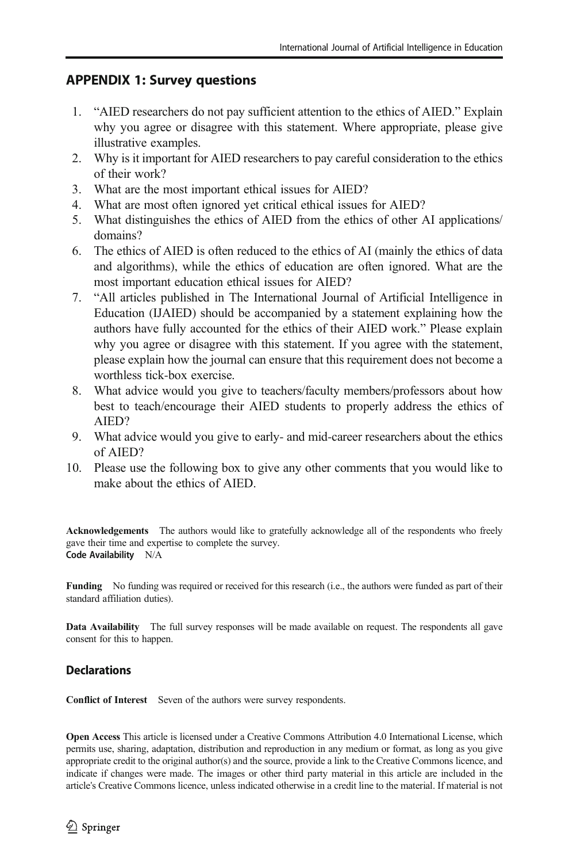#### APPENDIX 1: Survey questions

- 1. "AIED researchers do not pay sufficient attention to the ethics of AIED." Explain why you agree or disagree with this statement. Where appropriate, please give illustrative examples.
- 2. Why is it important for AIED researchers to pay careful consideration to the ethics of their work?
- 3. What are the most important ethical issues for AIED?
- 4. What are most often ignored yet critical ethical issues for AIED?
- 5. What distinguishes the ethics of AIED from the ethics of other AI applications/ domains?
- 6. The ethics of AIED is often reduced to the ethics of AI (mainly the ethics of data and algorithms), while the ethics of education are often ignored. What are the most important education ethical issues for AIED?
- 7. "All articles published in The International Journal of Artificial Intelligence in Education (IJAIED) should be accompanied by a statement explaining how the authors have fully accounted for the ethics of their AIED work." Please explain why you agree or disagree with this statement. If you agree with the statement, please explain how the journal can ensure that this requirement does not become a worthless tick-box exercise.
- 8. What advice would you give to teachers/faculty members/professors about how best to teach/encourage their AIED students to properly address the ethics of AIED?
- 9. What advice would you give to early- and mid-career researchers about the ethics of AIED?
- 10. Please use the following box to give any other comments that you would like to make about the ethics of AIED.

Acknowledgements The authors would like to gratefully acknowledge all of the respondents who freely gave their time and expertise to complete the survey. Code Availability N/A

Funding No funding was required or received for this research (i.e., the authors were funded as part of their standard affiliation duties).

Data Availability The full survey responses will be made available on request. The respondents all gave consent for this to happen.

#### **Declarations**

Conflict of Interest Seven of the authors were survey respondents.

Open Access This article is licensed under a Creative Commons Attribution 4.0 International License, which permits use, sharing, adaptation, distribution and reproduction in any medium or format, as long as you give appropriate credit to the original author(s) and the source, provide a link to the Creative Commons licence, and indicate if changes were made. The images or other third party material in this article are included in the article's Creative Commons licence, unless indicated otherwise in a credit line to the material. If material is not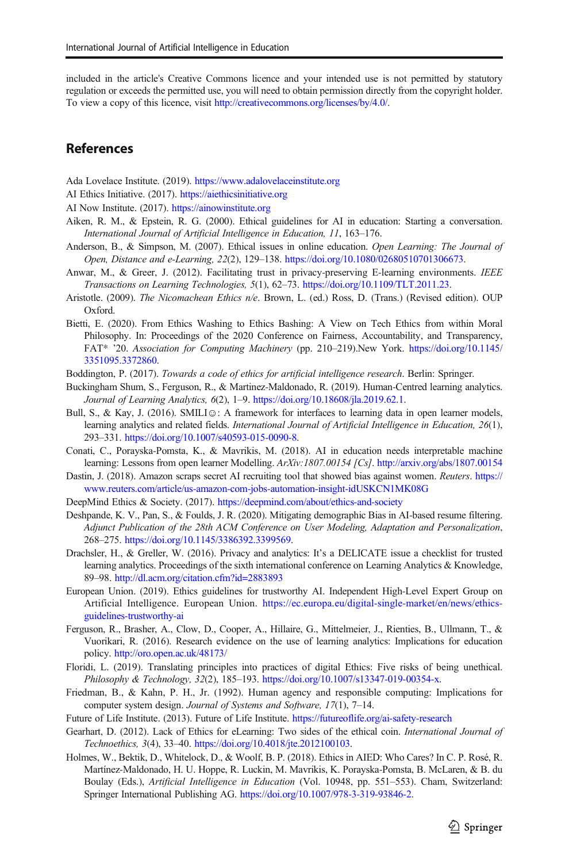<span id="page-22-0"></span>included in the article's Creative Commons licence and your intended use is not permitted by statutory regulation or exceeds the permitted use, you will need to obtain permission directly from the copyright holder. To view a copy of this licence, visit <http://creativecommons.org/licenses/by/4.0/>.

#### References

Ada Lovelace Institute. (2019). <https://www.adalovelaceinstitute.org>

- AI Ethics Initiative. (2017). <https://aiethicsinitiative.org>
- AI Now Institute. (2017). <https://ainowinstitute.org>
- Aiken, R. M., & Epstein, R. G. (2000). Ethical guidelines for AI in education: Starting a conversation. International Journal of Artificial Intelligence in Education, 11, 163–176.
- Anderson, B., & Simpson, M. (2007). Ethical issues in online education. Open Learning: The Journal of Open, Distance and e-Learning, 22(2), 129–138. <https://doi.org/10.1080/02680510701306673>.
- Anwar, M., & Greer, J. (2012). Facilitating trust in privacy-preserving E-learning environments. IEEE Transactions on Learning Technologies, 5(1), 62–73. <https://doi.org/10.1109/TLT.2011.23>.
- Aristotle. (2009). The Nicomachean Ethics n/e. Brown, L. (ed.) Ross, D. (Trans.) (Revised edition). OUP Oxford.
- Bietti, E. (2020). From Ethics Washing to Ethics Bashing: A View on Tech Ethics from within Moral Philosophy. In: Proceedings of the 2020 Conference on Fairness, Accountability, and Transparency, FAT\* '20. Association for Computing Machinery (pp. 210–219).New York. [https://doi.org/10.1145/](https://doi.org/10.1145/3351095.3372860) [3351095.3372860](https://doi.org/10.1145/3351095.3372860).
- Boddington, P. (2017). Towards a code of ethics for artificial intelligence research. Berlin: Springer.
- Buckingham Shum, S., Ferguson, R., & Martinez-Maldonado, R. (2019). Human-Centred learning analytics. Journal of Learning Analytics, 6(2), 1–9. [https://doi.org/10.18608/jla.2019.62.1.](https://doi.org/10.18608/jla.2019.62.1)
- Bull, S., & Kay, J. (2016). SMILI☺: A framework for interfaces to learning data in open learner models, learning analytics and related fields. International Journal of Artificial Intelligence in Education, 26(1), 293–331. [https://doi.org/10.1007/s40593-015-0090-8](https://doi.org/10.1145/3351095.3372860).
- Conati, C., Porayska-Pomsta, K., & Mavrikis, M. (2018). AI in education needs interpretable machine learning: Lessons from open learner Modelling. ArXiv:1807.00154 [Cs]. <http://arxiv.org/abs/1807.00154>
- Dastin, J. (2018). Amazon scraps secret AI recruiting tool that showed bias against women. Reuters. [https://](https://www.reuters.com/article/us-amazon-com-jobs-automation-insight-idUSKCN1MK08G) [www.reuters.com/article/us-amazon-com-jobs-automation-insight-idUSKCN1MK08G](https://www.reuters.com/article/us-amazon-com-jobs-automation-insight-idUSKCN1MK08G)
- DeepMind Ethics & Society. (2017). <https://deepmind.com/about/ethics-and-society>
- Deshpande, K. V., Pan, S., & Foulds, J. R. (2020). Mitigating demographic Bias in AI-based resume filtering. Adjunct Publication of the 28th ACM Conference on User Modeling, Adaptation and Personalization, 268–275. [https://doi.org/10.1145/3386392.3399569.](https://doi.org/10.1145/3386392.3399569)
- Drachsler, H., & Greller, W. (2016). Privacy and analytics: It's a DELICATE issue a checklist for trusted learning analytics. Proceedings of the sixth international conference on Learning Analytics & Knowledge, 89–98. <http://dl.acm.org/citation.cfm?id=2883893>
- European Union. (2019). Ethics guidelines for trustworthy AI. Independent High-Level Expert Group on Artificial Intelligence. European Union. [https://ec.europa.eu/digital-single-market/en/news/ethics](https://ec.europa.eu/digital-single-market/en/news/ethics-guidelines-trustworthy-ai)[guidelines-trustworthy-ai](https://ec.europa.eu/digital-single-market/en/news/ethics-guidelines-trustworthy-ai)
- Ferguson, R., Brasher, A., Clow, D., Cooper, A., Hillaire, G., Mittelmeier, J., Rienties, B., Ullmann, T., & Vuorikari, R. (2016). Research evidence on the use of learning analytics: Implications for education policy. <http://oro.open.ac.uk/48173/>
- Floridi, L. (2019). Translating principles into practices of digital Ethics: Five risks of being unethical. Philosophy & Technology, 32(2), 185–193. <https://doi.org/10.1007/s13347-019-00354-x>.
- Friedman, B., & Kahn, P. H., Jr. (1992). Human agency and responsible computing: Implications for computer system design. Journal of Systems and Software, 17(1), 7–14.
- Future of Life Institute. (2013). Future of Life Institute. <https://futureoflife.org/ai-safety-research>
- Gearhart, D. (2012). Lack of Ethics for eLearning: Two sides of the ethical coin. International Journal of Technoethics, 3(4), 33–40. <https://doi.org/10.4018/jte.2012100103>.
- Holmes, W., Bektik, D., Whitelock, D., & Woolf, B. P. (2018). Ethics in AIED: Who Cares? In C. P. Rosé, R. Martínez-Maldonado, H. U. Hoppe, R. Luckin, M. Mavrikis, K. Porayska-Pomsta, B. McLaren, & B. du Boulay (Eds.), Artificial Intelligence in Education (Vol. 10948, pp. 551–553). Cham, Switzerland: Springer International Publishing AG. [https://doi.org/10.1007/978-3-319-93846-2.](https://doi.org/10.1007/978-3-319-93846-2)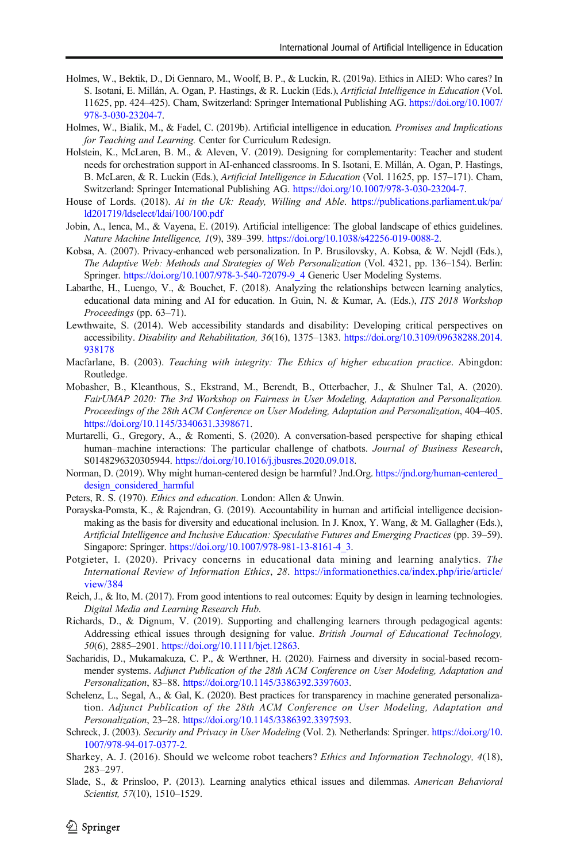- <span id="page-23-0"></span>Holmes, W., Bektik, D., Di Gennaro, M., Woolf, B. P., & Luckin, R. (2019a). Ethics in AIED: Who cares? In S. Isotani, E. Millán, A. Ogan, P. Hastings, & R. Luckin (Eds.), Artificial Intelligence in Education (Vol. 11625, pp. 424–425). Cham, Switzerland: Springer International Publishing AG. [https://doi.org/10.1007/](https://doi.org/10.1007/978-3-030-23204-7) [978-3-030-23204-7](https://doi.org/10.1007/978-3-030-23204-7).
- Holmes, W., Bialik, M., & Fadel, C. (2019b). Artificial intelligence in education. Promises and Implications for Teaching and Learning. Center for Curriculum Redesign.
- Holstein, K., McLaren, B. M., & Aleven, V. (2019). Designing for complementarity: Teacher and student needs for orchestration support in AI-enhanced classrooms. In S. Isotani, E. Millán, A. Ogan, P. Hastings, B. McLaren, & R. Luckin (Eds.), Artificial Intelligence in Education (Vol. 11625, pp. 157–171). Cham, Switzerland: Springer International Publishing AG. [https://doi.org/10.1007/978-3-030-23204-7.](https://doi.org/10.1007/978-3-030-23204-7)
- House of Lords. (2018). Ai in the Uk: Ready, Willing and Able. [https://publications.parliament.uk/pa/](https://publications.parliament.uk/pa/ld201719/ldselect/ldai/100/100.pdf) [ld201719/ldselect/ldai/100/100.pdf](https://publications.parliament.uk/pa/ld201719/ldselect/ldai/100/100.pdf)
- Jobin, A., Ienca, M., & Vayena, E. (2019). Artificial intelligence: The global landscape of ethics guidelines. Nature Machine Intelligence, 1(9), 389–399. <https://doi.org/10.1038/s42256-019-0088-2>.
- Kobsa, A. (2007). Privacy-enhanced web personalization. In P. Brusilovsky, A. Kobsa, & W. Nejdl (Eds.), The Adaptive Web: Methods and Strategies of Web Personalization (Vol. 4321, pp. 136–154). Berlin: Springer. [https://doi.org/10.1007/978-3-540-72079-9\\_4](https://doi.org/10.1007/978-3-540-72079-9_4) Generic User Modeling Systems.
- Labarthe, H., Luengo, V., & Bouchet, F. (2018). Analyzing the relationships between learning analytics, educational data mining and AI for education. In Guin, N. & Kumar, A. (Eds.), ITS 2018 Workshop Proceedings (pp. 63–71).
- Lewthwaite, S. (2014). Web accessibility standards and disability: Developing critical perspectives on accessibility. Disability and Rehabilitation, 36(16), 1375–1383. [https://doi.org/10.3109/09638288.2014.](https://doi.org/10.3109/09638288.2014.938178) [938178](https://doi.org/10.3109/09638288.2014.938178)
- Macfarlane, B. (2003). Teaching with integrity: The Ethics of higher education practice. Abingdon: Routledge.
- Mobasher, B., Kleanthous, S., Ekstrand, M., Berendt, B., Otterbacher, J., & Shulner Tal, A. (2020). FairUMAP 2020: The 3rd Workshop on Fairness in User Modeling, Adaptation and Personalization. Proceedings of the 28th ACM Conference on User Modeling, Adaptation and Personalization, 404–405. <https://doi.org/10.1145/3340631.3398671>.
- Murtarelli, G., Gregory, A., & Romenti, S. (2020). A conversation-based perspective for shaping ethical human–machine interactions: The particular challenge of chatbots. Journal of Business Research, S0148296320305944. [https://doi.org/10.1016/j.jbusres.2020.09.018.](https://doi.org/10.1016/j.jbusres.2020.09.018)
- Norman, D. (2019). Why might human-centered design be harmful? Jnd.Org. [https://jnd.org/human-centered\\_](https://jnd.org/human-centered_design_considered_harmful) [design\\_considered\\_harmful](https://jnd.org/human-centered_design_considered_harmful)
- Peters, R. S. (1970). *Ethics and education*. London: Allen & Unwin.
- Porayska-Pomsta, K., & Rajendran, G. (2019). Accountability in human and artificial intelligence decisionmaking as the basis for diversity and educational inclusion. In J. Knox, Y. Wang, & M. Gallagher (Eds.), Artificial Intelligence and Inclusive Education: Speculative Futures and Emerging Practices (pp. 39–59). Singapore: Springer. [https://doi.org/10.1007/978-981-13-8161-4\\_3](https://doi.org/10.1007/978-981-13-8161-4_3).
- Potgieter, I. (2020). Privacy concerns in educational data mining and learning analytics. The International Review of Information Ethics, 28. [https://informationethics.ca/index.php/irie/article/](https://informationethics.ca/index.php/irie/article/view/384) [view/384](https://informationethics.ca/index.php/irie/article/view/384)
- Reich, J., & Ito, M. (2017). From good intentions to real outcomes: Equity by design in learning technologies. Digital Media and Learning Research Hub.
- Richards, D., & Dignum, V. (2019). Supporting and challenging learners through pedagogical agents: Addressing ethical issues through designing for value. British Journal of Educational Technology, 50(6), 2885–2901. [https://doi.org/10.1111/bjet.12863.](https://doi.org/10.1111/bjet.12863)
- Sacharidis, D., Mukamakuza, C. P., & Werthner, H. (2020). Fairness and diversity in social-based recommender systems. Adjunct Publication of the 28th ACM Conference on User Modeling, Adaptation and Personalization, 83–88. [https://doi.org/10.1145/3386392.3397603.](https://doi.org/10.1145/3386392.3397603)
- Schelenz, L., Segal, A., & Gal, K. (2020). Best practices for transparency in machine generated personalization. Adjunct Publication of the 28th ACM Conference on User Modeling, Adaptation and Personalization, 23–28. [https://doi.org/10.1145/3386392.3397593.](https://doi.org/10.1145/3386392.3397593)
- Schreck, J. (2003). Security and Privacy in User Modeling (Vol. 2). Netherlands: Springer. [https://doi.org/10.](https://doi.org/10.1007/978-94-017-0377-2) [1007/978-94-017-0377-2.](https://doi.org/10.1007/978-94-017-0377-2)
- Sharkey, A. J. (2016). Should we welcome robot teachers? Ethics and Information Technology, 4(18), 283–297.
- Slade, S., & Prinsloo, P. (2013). Learning analytics ethical issues and dilemmas. American Behavioral Scientist, 57(10), 1510-1529.